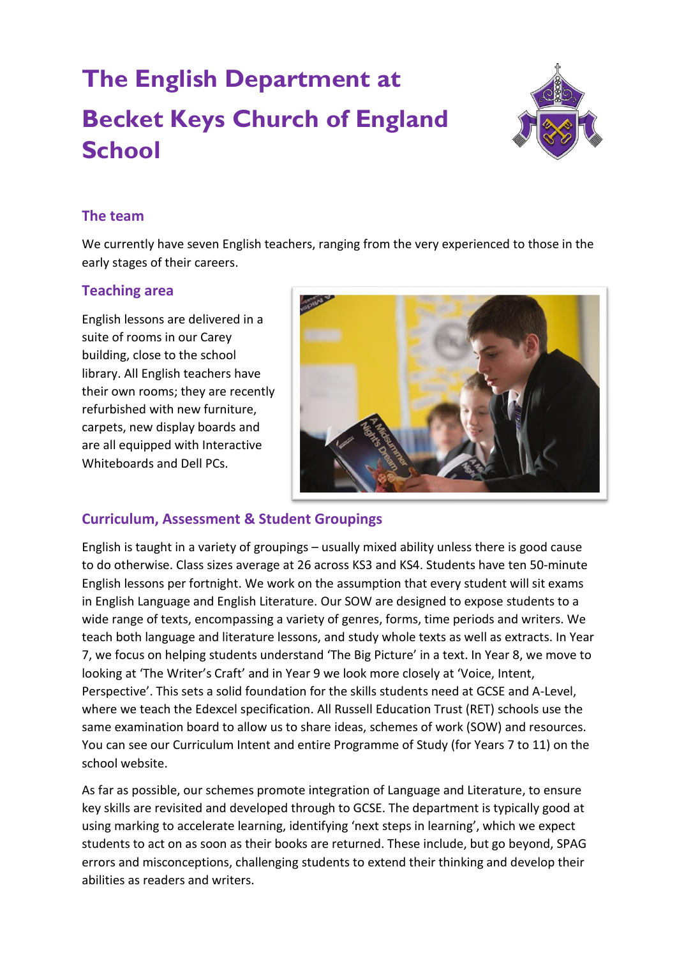# **The English Department at Becket Keys Church of England School**



### **The team**

We currently have seven English teachers, ranging from the very experienced to those in the early stages of their careers.

### **Teaching area**

English lessons are delivered in a suite of rooms in our Carey building, close to the school library. All English teachers have their own rooms; they are recently refurbished with new furniture, carpets, new display boards and are all equipped with Interactive Whiteboards and Dell PCs.



## **Curriculum, Assessment & Student Groupings**

English is taught in a variety of groupings – usually mixed ability unless there is good cause to do otherwise. Class sizes average at 26 across KS3 and KS4. Students have ten 50-minute English lessons per fortnight. We work on the assumption that every student will sit exams in English Language and English Literature. Our SOW are designed to expose students to a wide range of texts, encompassing a variety of genres, forms, time periods and writers. We teach both language and literature lessons, and study whole texts as well as extracts. In Year 7, we focus on helping students understand 'The Big Picture' in a text. In Year 8, we move to looking at 'The Writer's Craft' and in Year 9 we look more closely at 'Voice, Intent, Perspective'. This sets a solid foundation for the skills students need at GCSE and A-Level, where we teach the Edexcel specification. All Russell Education Trust (RET) schools use the same examination board to allow us to share ideas, schemes of work (SOW) and resources. You can see our Curriculum Intent and entire Programme of Study (for Years 7 to 11) on the school website.

As far as possible, our schemes promote integration of Language and Literature, to ensure key skills are revisited and developed through to GCSE. The department is typically good at using marking to accelerate learning, identifying 'next steps in learning', which we expect students to act on as soon as their books are returned. These include, but go beyond, SPAG errors and misconceptions, challenging students to extend their thinking and develop their abilities as readers and writers.